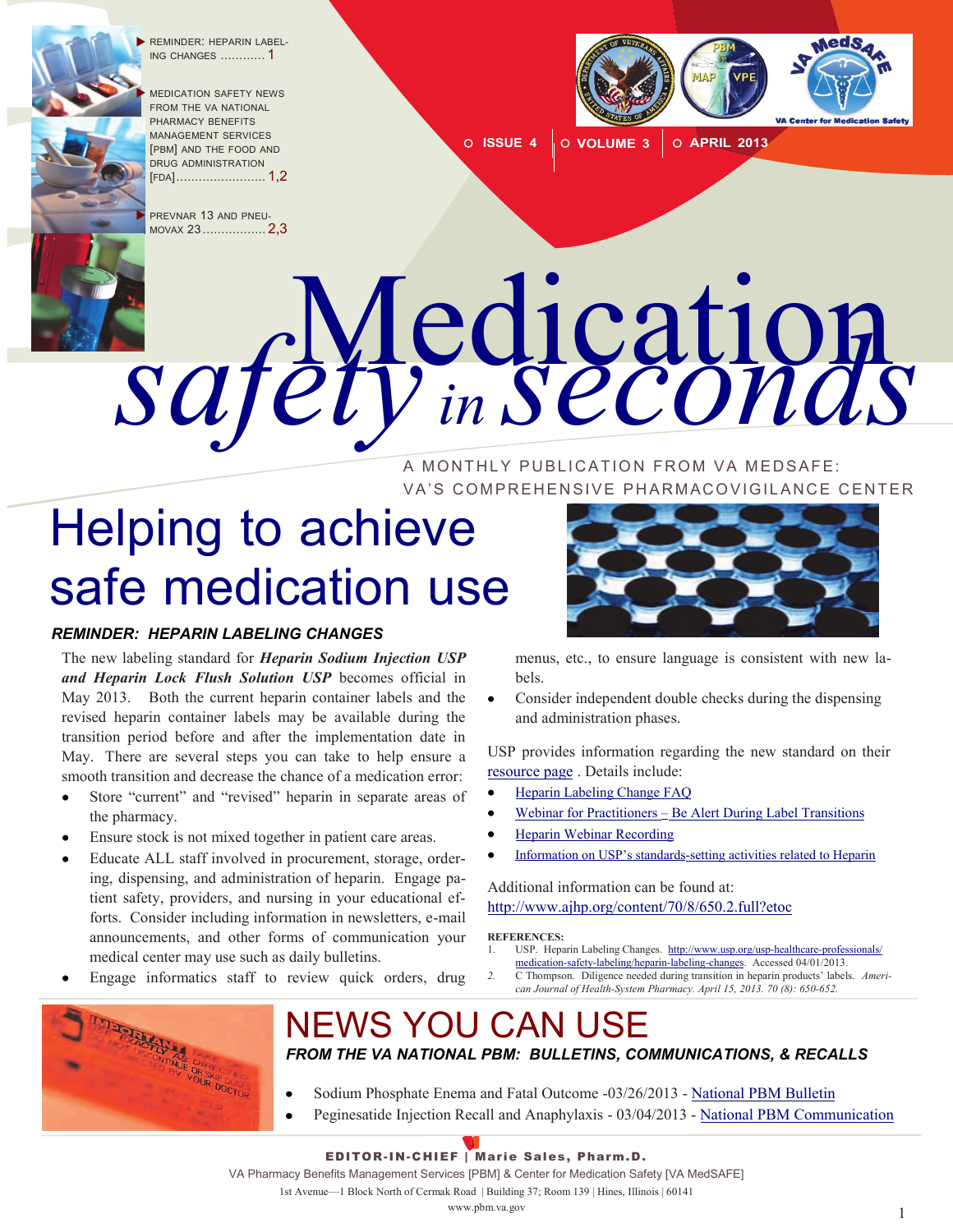

REMINDER: HEPARIN LABEL-ING CHANGES ............ 1

 MEDICATION SAFETY NEWS FROM THE VA NATIONAL PHARMACY BENEFITS MANAGEMENT SERVICES [PBM] AND THE FOOD AND DRUG ADMINISTRATION [FDA[\] ........................](#page-1-0) 1,2

PREVNAR 13 AND PNEU-MOVAX 23 [.................](#page-1-0) 2,3



0 **ISSUE 4 O VOLUME 3 O APRIL 2013** 

# Medication *safety in seconds*

A MONTHLY PUBLICATION FROM VA MEDSAFE: VA'S COMPREHENSIVE PHARMACOVIGILANCE CENTER

# Helping to achieve safe medication use

#### *REMINDER: HEPARIN LABELING CHANGES*

The new labeling standard for *Heparin Sodium Injection USP and Heparin Lock Flush Solution USP* becomes official in May 2013. Both the current heparin container labels and the revised heparin container labels may be available during the transition period before and after the implementation date in May. There are several steps you can take to help ensure a smooth transition and decrease the chance of a medication error:

- Store "current" and "revised" heparin in separate areas of the pharmacy.
- Ensure stock is not mixed together in patient care areas.
- Educate ALL staff involved in procurement, storage, ordering, dispensing, and administration of heparin. Engage patient safety, providers, and nursing in your educational efforts. Consider including information in newsletters, e-mail announcements, and other forms of communication your medical center may use such as daily bulletins.
- Engage informatics staff to review quick orders, drug

 $\bullet$ 



menus, etc., to ensure language is consistent with new labels.

Consider independent double checks during the dispensing  $\bullet$ and administration phases.

USP provides information regarding the new standard on their [resource page](http://www.usp.org/usp-healthcare-professionals/medication-safety-labeling/heparin-labeling-changes) . Details include:

- [Heparin Labeling Change FAQ](http://www.usp.org/usp-healthcare-professionals/medication-safety-labeling/heparin-labeling-changes/important-changes-heparin-container-labels)
- Webinar for Practitioners  $=$  [Be Alert During Label Transitions](http://www.usp.org/sites/default/files/usp_pdf/EN/USPNF/2013_usp_heparin_webinar_for_webpost.pdf)
- [Heparin Webinar Recording](https://uspevents.webex.com/uspevents/lsr.php?AT=pb&SP=EC&rID=6484512&rKey=68e41e11295b5bdc)
- Information on USP's standards[-setting activities related to Heparin](http://www.usp.org/usp-nf/key-issues/heparin)

Additional information can be found at: <http://www.ajhp.org/content/70/8/650.2.full?etoc>

**REFERENCES:** 

- 1. USP. Heparin Labeling Changes. [http://www.usp.org/usp-healthcare-professionals/](http://www.usp.org/usp-healthcare-professionals/medication-safety-labeling/heparin-labeling-changes) [medication-safety-labeling/heparin-labeling-changes.](http://www.usp.org/usp-healthcare-professionals/medication-safety-labeling/heparin-labeling-changes) Accessed 04/01/2013.
- *- 2.* C Thompson. Diligence needed during transition in heparin products' labels. *Ameri can Journal of Health-System Pharmacy. April 15, 2013. 70 (8): 650-652.*



#### NEWS YOU CAN USE *FROM THE VA NATIONAL PBM: BULLETINS, COMMUNICATIONS, & RECALLS*

- Sodium Phosphate Enema and Fatal Outcome -03/26/2013 [National PBM Bulletin](http://www.pbm.va.gov/vacenterformedicationsafety/nationalpbmbulletin/Sodiumphosphateenemaandfataloutcome.pdf)   $\bullet$ 
	- Peginesatide Injection Recall and Anaphylaxis 03/04/2013 [National PBM Communication](http://www.pbm.va.gov/vacenterformedicationsafety/nationalpbmcommunication/Peginesatideinjectionrecallandanaphylaxis.pdf)

#### EDITOR-IN-CHIEF | Marie Sales, Pharm.D.

VA Pharmacy Benefits Management Services [PBM] & Center for Medication Safety [VA MedSAFE]

1st Avenue—1 Block North of Cermak Road | Building 37; Room 139 | Hines, Illinois | 60141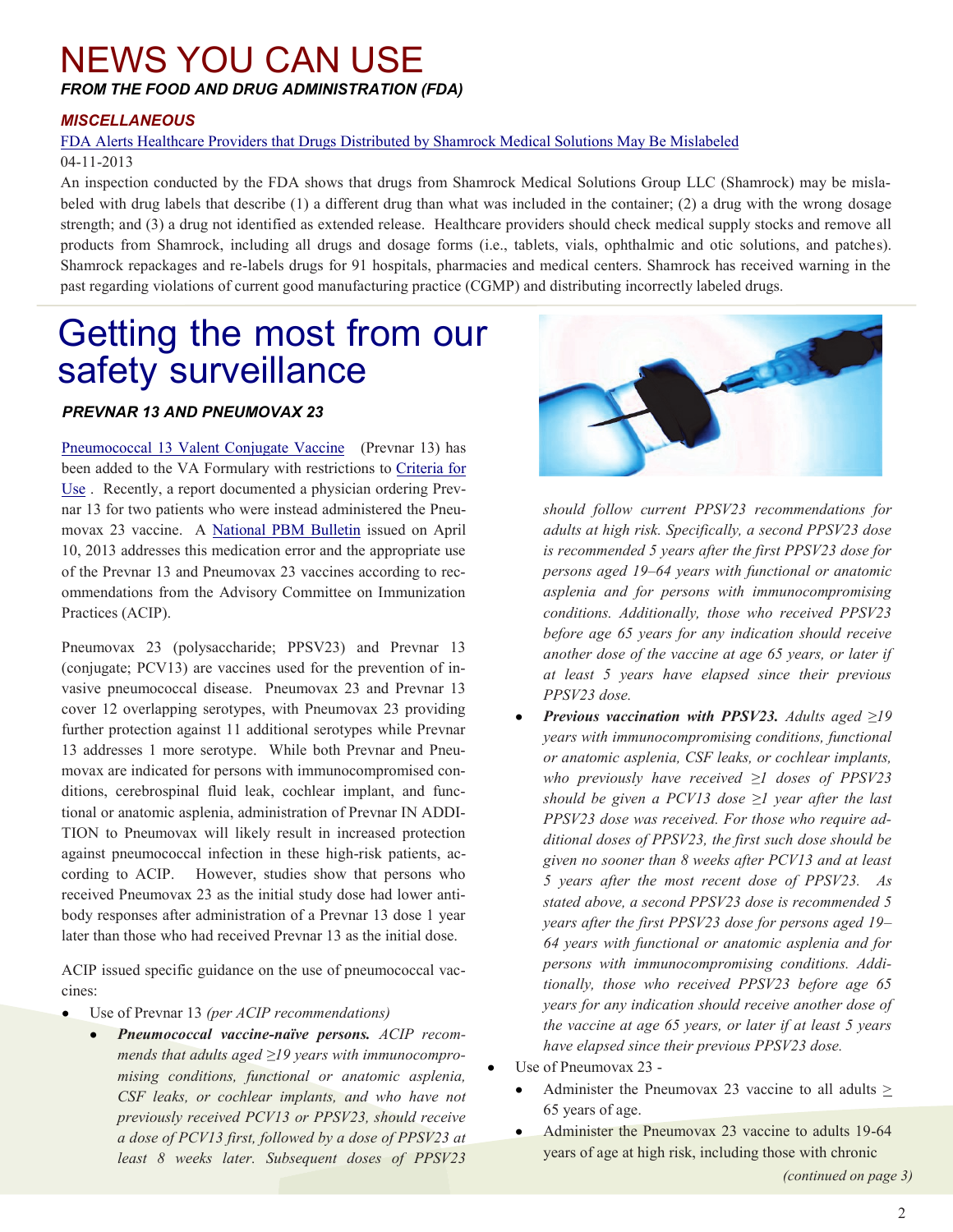#### <span id="page-1-0"></span>NEWS YOU CAN USE *FROM THE FOOD AND DRUG ADMINISTRATION (FDA)*

#### *MISCELLANEOUS*

#### [FDA Alerts Healthcare Providers that Drugs Distributed by Shamrock Medical Solutions May Be Mislabeled](http://www.fda.gov/Drugs/DrugSafety/ucm347668.htm) 04-11-2013

An inspection conducted by the FDA shows that drugs from Shamrock Medical Solutions Group LLC (Shamrock) may be misla beled with drug labels that describe (1) a different drug than what was included in the container; (2) a drug with the wrong dosage strength; and (3) a drug not identified as extended release. Healthcare providers should check medical supply stocks and remove all products from Shamrock, including all drugs and dosage forms (i.e., tablets, vials, ophthalmic and otic solutions, and patches). Shamrock repackages and re-labels drugs for 91 hospitals, pharmacies and medical centers. Shamrock has received warning in the past regarding violations of current good manufacturing practice (CGMP) and distributing incorrectly labeled drugs.

### Getting the most from our safety surveillance

#### *PREVNAR 13 AND PNEUMOVAX 23*

[Use](https://vaww.cmopnational.va.gov/cmop/PBM/Clinical%20Guidance/Criteria%20For%20Use/Pneumococcal%2013%20Valent%20Conjugate%20Vaccine,%20Criteria%20for%20Use.doc) . Recently, a report documented a physician ordering Prevnar 13 for two patients who were instead administered the Pneu-- of the Prevnar 13 and Pneumovax 23 vaccines according to rec [Pneumococcal 13 Valent Conjugate Vaccine](https://vaww.cmopnational.va.gov/cmop/PBM/Clinical%20Guidance/Drug%20Monographs/Pneumococcal%2013%20valent%20conjugate%20vaccine.docx) (Prevnar 13) has been added to the VA Formulary with restrictions to [Criteria for](https://vaww.cmopnational.va.gov/cmop/PBM/Clinical%20Guidance/Criteria%20For%20Use/Pneumococcal%2013%20Valent%20Conjugate%20Vaccine,%20Criteria%20for%20Use.doc)  movax 23 vaccine. A [National PBM Bulletin](http://www.pbm.va.gov/vacenterformedicationsafety/nationalpbmbulletin/Prevnar13andPneumovax23MedicationErrorsandAppropriateUse.pdf) issued on April 10, 2013 addresses this medication error and the appropriate use ommendations from the Advisory Committee on Immunization Practices (ACIP).

(conjugate; PCV13) are vaccines used for the prevention of in-- 13 addresses 1 more serotype. While both Prevnar and Pneu movax are indicated for persons with immunocompromised conditions, cerebrospinal fluid leak, cochlear implant, and functional or anatomic asplenia, administration of Prevnar IN ADDIagainst pneumococcal infection in these high-risk patients, acreceived Pneumovax 23 as the initial study dose had lower anti-Pneumovax 23 (polysaccharide; PPSV23) and Prevnar 13 vasive pneumococcal disease. Pneumovax 23 and Prevnar 13 cover 12 overlapping serotypes, with Pneumovax 23 providing further protection against 11 additional serotypes while Prevnar TION to Pneumovax will likely result in increased protection cording to ACIP. However, studies show that persons who body responses after administration of a Prevnar 13 dose 1 year later than those who had received Prevnar 13 as the initial dose.

- ACIP issued specific guidance on the use of pneumococcal vac cines:

- Use of Prevnar 13 *(per ACIP recommendations)* 
	- *- Pneumococcal vaccine-naïve persons. ACIP recom - mends that adults aged ≥19 years with immunocompro mising conditions, functional or anatomic asplenia, CSF leaks, or cochlear implants, and who have not previously received PCV13 or PPSV23, should receive a dose of PCV13 first, followed by a dose of PPSV23 at least 8 weeks later. Subsequent doses of PPSV23*



*should follow current PPSV23 recommendations for adults at high risk. Specifically, a second PPSV23 dose is recommended 5 years after the first PPSV23 dose for persons aged 19–64 years with functional or anatomic asplenia and for persons with immunocompromising conditions. Additionally, those who received PPSV23 before age 65 years for any indication should receive another dose of the vaccine at age 65 years, or later if at least 5 years have elapsed since their previous PPSV23 dose.* 

- *- PPSV23 dose was received. For those who require ad - persons with immunocompromising conditions. Addi Previous vaccination with PPSV23. Adults aged ≥19 years with immunocompromising conditions, functional or anatomic asplenia, CSF leaks, or cochlear implants, who previously have received ≥1 doses of PPSV23 should be given a PCV13 dose ≥1 year after the last ditional doses of PPSV23, the first such dose should be given no sooner than 8 weeks after PCV13 and at least 5 years after the most recent dose of PPSV23. As stated above, a second PPSV23 dose is recommended 5 years after the first PPSV23 dose for persons aged 19– 64 years with functional or anatomic asplenia and for tionally, those who received PPSV23 before age 65 years for any indication should receive another dose of the vaccine at age 65 years, or later if at least 5 years have elapsed since their previous PPSV23 dose.*
- Use of Pneumovax 23
	- Administer the Pneumovax 23 vaccine to all adults > 65 years of age.
- Administer the Pneumovax 23 vaccine to adults 19-64  $\bullet$ years of age at high risk, including those with chronic